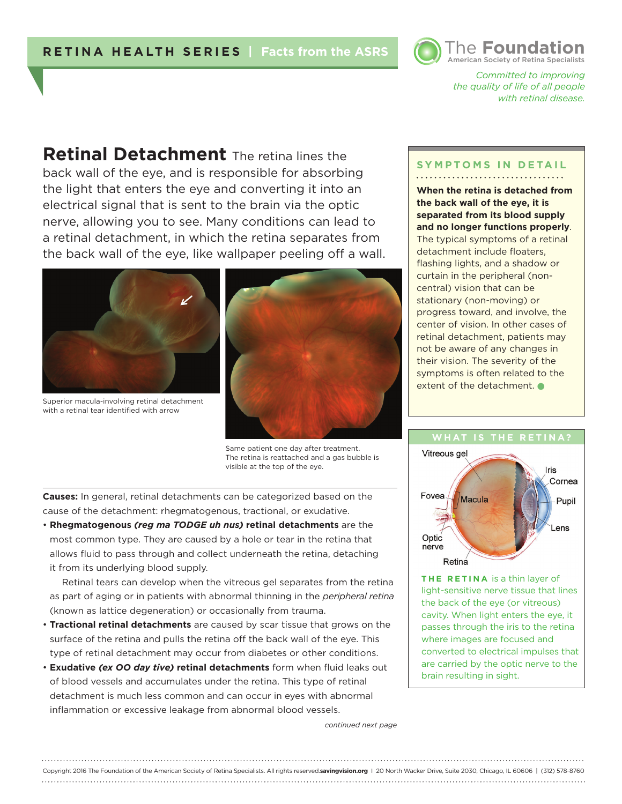# **RETINA HEALTH SERIES | Facts from the ASRS**



*Committed to improving the quality of life of all people with retinal disease.* 

**Retinal Detachment** The retina lines the back wall of the eye, and is responsible for absorbing the light that enters the eye and converting it into an electrical signal that is sent to the brain via the optic nerve, allowing you to see. Many conditions can lead to a retinal detachment, in which the retina separates from the back wall of the eye, like wallpaper peeling off a wall.



Superior macula-involving retinal detachment with a retinal tear identified with arrow



Same patient one day after treatment. The retina is reattached and a gas bubble is visible at the top of the eye.

**Causes:** In general, retinal detachments can be categorized based on the cause of the detachment: rhegmatogenous, tractional, or exudative.

• **Rhegmatogenous** *(reg ma TODGE uh nus)* **retinal detachments** are the most common type. They are caused by a hole or tear in the retina that allows fluid to pass through and collect underneath the retina, detaching it from its underlying blood supply.

Retinal tears can develop when the vitreous gel separates from the retina as part of aging or in patients with abnormal thinning in the *peripheral retina*  (known as lattice degeneration) or occasionally from trauma.

- **Tractional retinal detachments** are caused by scar tissue that grows on the surface of the retina and pulls the retina off the back wall of the eye. This type of retinal detachment may occur from diabetes or other conditions.
- **Exudative** *(ex OO day tive)* **retinal detachments** form when fluid leaks out of blood vessels and accumulates under the retina. This type of retinal detachment is much less common and can occur in eyes with abnormal inflammation or excessive leakage from abnormal blood vessels.

#### **SYMPTOMS IN DETAIL**

**When the retina is detached from the back wall of the eye, it is separated from its blood supply and no longer functions properly**. The typical symptoms of a retinal detachment include floaters, flashing lights, and a shadow or curtain in the peripheral (noncentral) vision that can be stationary (non-moving) or progress toward, and involve, the center of vision. In other cases of retinal detachment, patients may not be aware of any changes in their vision. The severity of the symptoms is often related to the extent of the detachment.



**THE RETINA** is a thin layer of light-sensitive nerve tissue that lines the back of the eye (or vitreous) cavity. When light enters the eye, it passes through the iris to the retina where images are focused and converted to electrical impulses that are carried by the optic nerve to the brain resulting in sight.

*continued next page*

Copyright 2016 The Foundation of the American Society of Retina Specialists. All rights reserved.**savingvision.org** I 20 North Wacker Drive, Suite 2030, Chicago, IL 60606 | (312) 578-8760